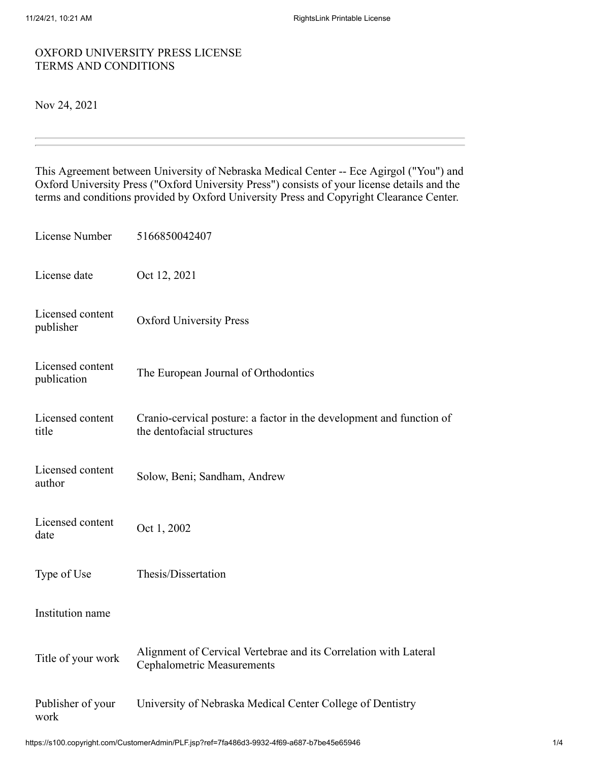## OXFORD UNIVERSITY PRESS LICENSE TERMS AND CONDITIONS

## Nov 24, 2021

This Agreement between University of Nebraska Medical Center -- Ece Agirgol ("You") and Oxford University Press ("Oxford University Press") consists of your license details and the terms and conditions provided by Oxford University Press and Copyright Clearance Center.

| License Number                  | 5166850042407                                                                                         |
|---------------------------------|-------------------------------------------------------------------------------------------------------|
| License date                    | Oct 12, 2021                                                                                          |
| Licensed content<br>publisher   | <b>Oxford University Press</b>                                                                        |
| Licensed content<br>publication | The European Journal of Orthodontics                                                                  |
| Licensed content<br>title       | Cranio-cervical posture: a factor in the development and function of<br>the dentofacial structures    |
| Licensed content<br>author      | Solow, Beni; Sandham, Andrew                                                                          |
| Licensed content<br>date        | Oct 1, 2002                                                                                           |
| Type of Use                     | Thesis/Dissertation                                                                                   |
| Institution name                |                                                                                                       |
| Title of your work              | Alignment of Cervical Vertebrae and its Correlation with Lateral<br><b>Cephalometric Measurements</b> |
| Publisher of your<br>work       | University of Nebraska Medical Center College of Dentistry                                            |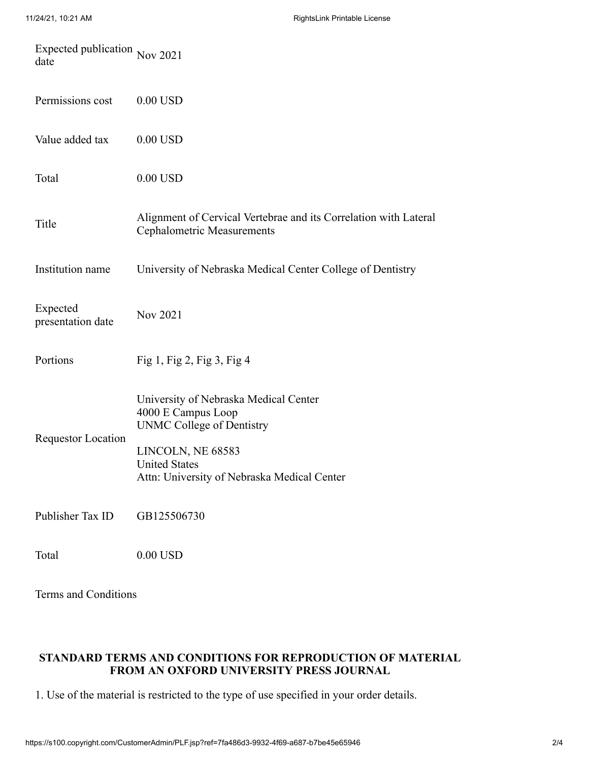| Expected publication Nov 2021<br>date |                                                                                                       |
|---------------------------------------|-------------------------------------------------------------------------------------------------------|
| Permissions cost                      | $0.00$ USD                                                                                            |
| Value added tax                       | $0.00$ USD                                                                                            |
| Total                                 | $0.00$ USD                                                                                            |
| Title                                 | Alignment of Cervical Vertebrae and its Correlation with Lateral<br><b>Cephalometric Measurements</b> |
| Institution name                      | University of Nebraska Medical Center College of Dentistry                                            |
| Expected<br>presentation date         | Nov 2021                                                                                              |
| Portions                              | Fig 1, Fig 2, Fig 3, Fig 4                                                                            |
| <b>Requestor Location</b>             | University of Nebraska Medical Center<br>4000 E Campus Loop<br><b>UNMC College of Dentistry</b>       |
|                                       | LINCOLN, NE 68583<br><b>United States</b><br>Attn: University of Nebraska Medical Center              |
| Publisher Tax ID                      | GB125506730                                                                                           |
| Total                                 | $0.00$ USD                                                                                            |

Terms and Conditions

## **STANDARD TERMS AND CONDITIONS FOR REPRODUCTION OF MATERIAL FROM AN OXFORD UNIVERSITY PRESS JOURNAL**

1. Use of the material is restricted to the type of use specified in your order details.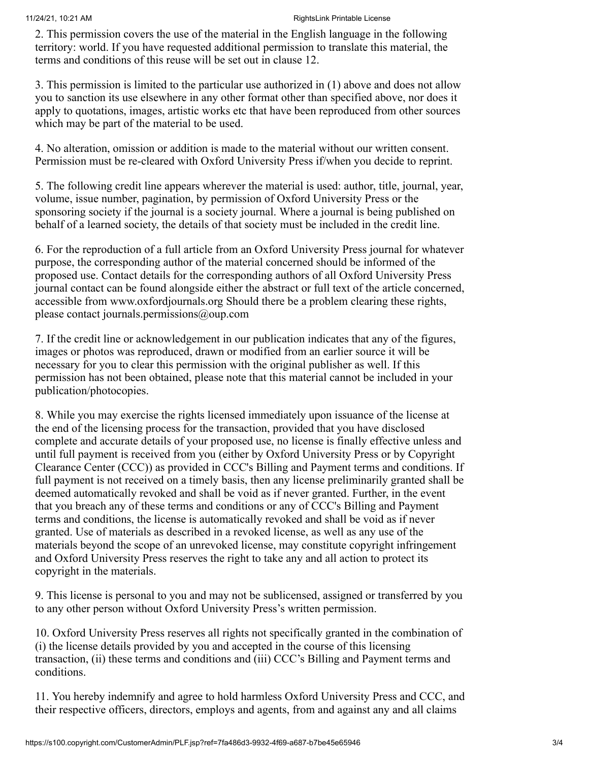2. This permission covers the use of the material in the English language in the following territory: world. If you have requested additional permission to translate this material, the terms and conditions of this reuse will be set out in clause 12.

3. This permission is limited to the particular use authorized in (1) above and does not allow you to sanction its use elsewhere in any other format other than specified above, nor does it apply to quotations, images, artistic works etc that have been reproduced from other sources which may be part of the material to be used.

4. No alteration, omission or addition is made to the material without our written consent. Permission must be re-cleared with Oxford University Press if/when you decide to reprint.

5. The following credit line appears wherever the material is used: author, title, journal, year, volume, issue number, pagination, by permission of Oxford University Press or the sponsoring society if the journal is a society journal. Where a journal is being published on behalf of a learned society, the details of that society must be included in the credit line.

6. For the reproduction of a full article from an Oxford University Press journal for whatever purpose, the corresponding author of the material concerned should be informed of the proposed use. Contact details for the corresponding authors of all Oxford University Press journal contact can be found alongside either the abstract or full text of the article concerned, accessible from www.oxfordjournals.org Should there be a problem clearing these rights, please contact journals.permissions@oup.com

7. If the credit line or acknowledgement in our publication indicates that any of the figures, images or photos was reproduced, drawn or modified from an earlier source it will be necessary for you to clear this permission with the original publisher as well. If this permission has not been obtained, please note that this material cannot be included in your publication/photocopies.

8. While you may exercise the rights licensed immediately upon issuance of the license at the end of the licensing process for the transaction, provided that you have disclosed complete and accurate details of your proposed use, no license is finally effective unless and until full payment is received from you (either by Oxford University Press or by Copyright Clearance Center (CCC)) as provided in CCC's Billing and Payment terms and conditions. If full payment is not received on a timely basis, then any license preliminarily granted shall be deemed automatically revoked and shall be void as if never granted. Further, in the event that you breach any of these terms and conditions or any of CCC's Billing and Payment terms and conditions, the license is automatically revoked and shall be void as if never granted. Use of materials as described in a revoked license, as well as any use of the materials beyond the scope of an unrevoked license, may constitute copyright infringement and Oxford University Press reserves the right to take any and all action to protect its copyright in the materials.

9. This license is personal to you and may not be sublicensed, assigned or transferred by you to any other person without Oxford University Press's written permission.

10. Oxford University Press reserves all rights not specifically granted in the combination of (i) the license details provided by you and accepted in the course of this licensing transaction, (ii) these terms and conditions and (iii) CCC's Billing and Payment terms and conditions.

11. You hereby indemnify and agree to hold harmless Oxford University Press and CCC, and their respective officers, directors, employs and agents, from and against any and all claims